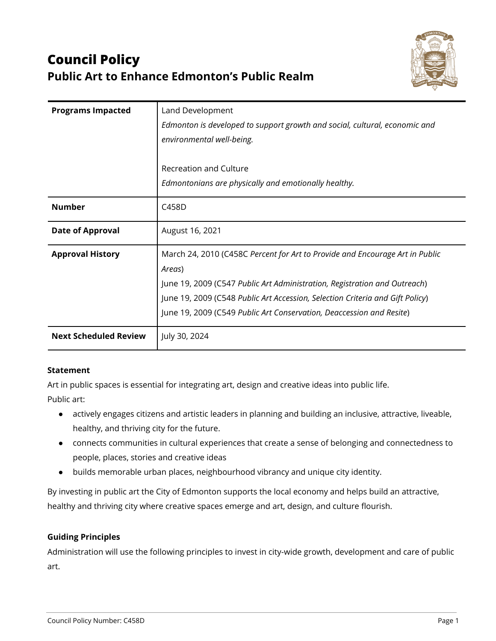# **Council Policy Public Art to Enhance Edmonton's Public Realm**



| <b>Programs Impacted</b>     | Land Development<br>Edmonton is developed to support growth and social, cultural, economic and<br>environmental well-being.<br>Recreation and Culture                                                                                                                                                                        |
|------------------------------|------------------------------------------------------------------------------------------------------------------------------------------------------------------------------------------------------------------------------------------------------------------------------------------------------------------------------|
|                              | Edmontonians are physically and emotionally healthy.                                                                                                                                                                                                                                                                         |
| <b>Number</b>                | C458D                                                                                                                                                                                                                                                                                                                        |
| <b>Date of Approval</b>      | August 16, 2021                                                                                                                                                                                                                                                                                                              |
| <b>Approval History</b>      | March 24, 2010 (C458C Percent for Art to Provide and Encourage Art in Public<br>Areas)<br>June 19, 2009 (C547 Public Art Administration, Registration and Outreach)<br>June 19, 2009 (C548 Public Art Accession, Selection Criteria and Gift Policy)<br>June 19, 2009 (C549 Public Art Conservation, Deaccession and Resite) |
| <b>Next Scheduled Review</b> | July 30, 2024                                                                                                                                                                                                                                                                                                                |

#### **Statement**

Art in public spaces is essential for integrating art, design and creative ideas into public life.

Public art:

- actively engages citizens and artistic leaders in planning and building an inclusive, attractive, liveable, healthy, and thriving city for the future.
- connects communities in cultural experiences that create a sense of belonging and connectedness to people, places, stories and creative ideas
- builds memorable urban places, neighbourhood vibrancy and unique city identity.

By investing in public art the City of Edmonton supports the local economy and helps build an attractive, healthy and thriving city where creative spaces emerge and art, design, and culture flourish.

#### **Guiding Principles**

Administration will use the following principles to invest in city-wide growth, development and care of public art.